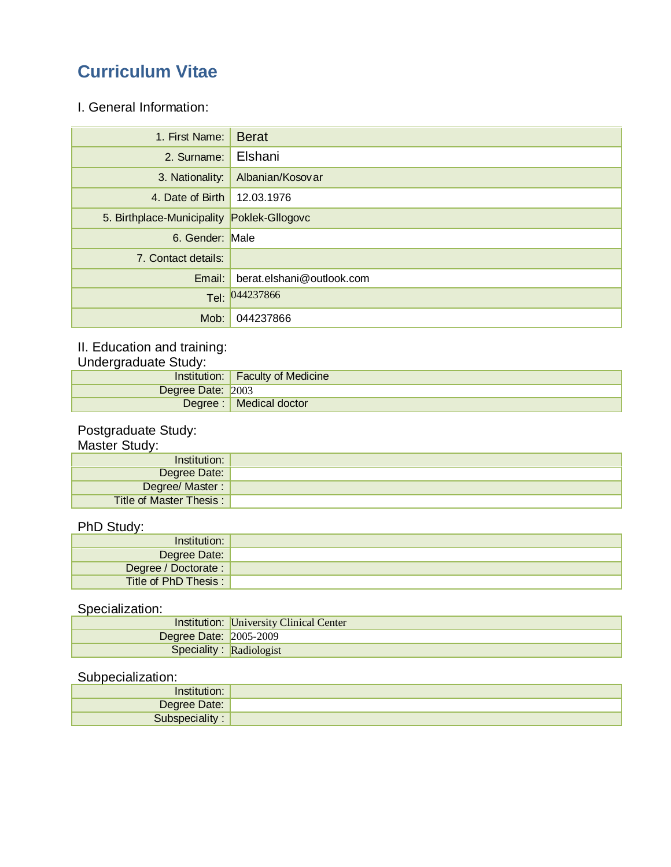# **Curriculum Vitae**

I. General Information:

| 1. First Name:                             | <b>Berat</b>              |
|--------------------------------------------|---------------------------|
| 2. Surname:                                | Elshani                   |
| 3. Nationality:                            | Albanian/Kosovar          |
| 4. Date of Birth                           | 12.03.1976                |
| 5. Birthplace-Municipality Poklek-Gllogovc |                           |
| 6. Gender: Male                            |                           |
| 7. Contact details:                        |                           |
| Email:                                     | berat.elshani@outlook.com |
|                                            | Tel: 044237866            |
| Mob:                                       | 044237866                 |

#### II. Education and training:

Undergraduate Study:

|                   | Institution:   Faculty of Medicine |
|-------------------|------------------------------------|
| Degree Date: 2003 |                                    |
|                   | Degree :   Medical doctor          |

#### Postgraduate Study:

Master Study:

| Institution:            |  |
|-------------------------|--|
| Degree Date:            |  |
| Degree/ Master:         |  |
| Title of Master Thesis: |  |

### PhD Study:

| Institution:          |  |
|-----------------------|--|
| Degree Date:          |  |
| Degree / Doctorate :  |  |
| Title of PhD Thesis : |  |

# Specialization:

|                               | <b>Institution:</b> University Clinical Center |
|-------------------------------|------------------------------------------------|
| <b>Degree Date: 2005-2009</b> |                                                |
| Speciality: Radiologist       |                                                |

### Subpecialization:

| netiti         |  |
|----------------|--|
| Degree Date:   |  |
| Subspeciality: |  |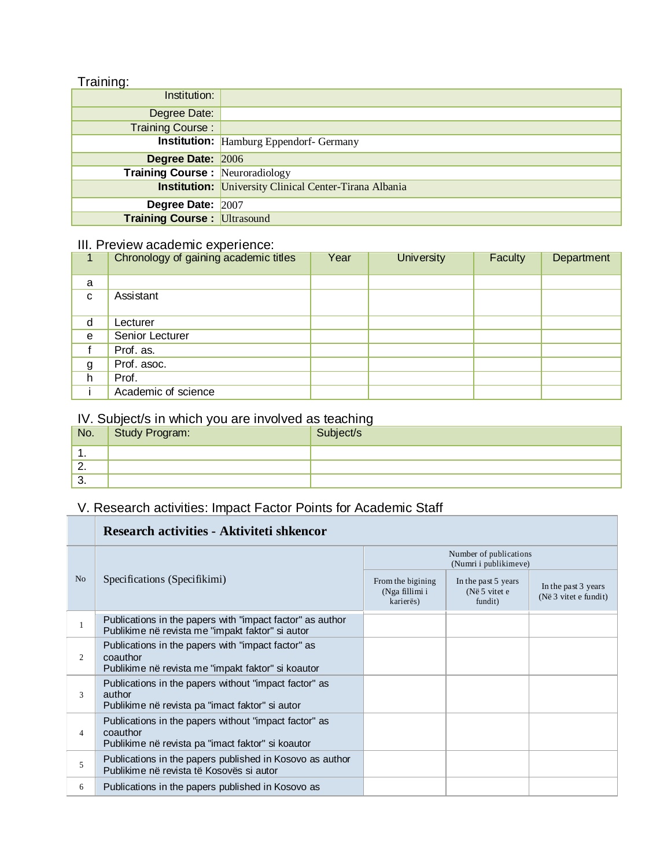### Training:

| Institution:                           |                                                               |
|----------------------------------------|---------------------------------------------------------------|
| Degree Date:                           |                                                               |
| <b>Training Course:</b>                |                                                               |
|                                        | <b>Institution:</b> Hamburg Eppendorf- Germany                |
| Degree Date: 2006                      |                                                               |
| <b>Training Course: Neuroradiology</b> |                                                               |
|                                        | <b>Institution:</b> University Clinical Center-Tirana Albania |
| Degree Date: 2007                      |                                                               |
| <b>Training Course: Ultrasound</b>     |                                                               |

### III. Preview academic experience:

|   | Chronology of gaining academic titles | Year | <b>University</b> | Faculty | Department |
|---|---------------------------------------|------|-------------------|---------|------------|
| a |                                       |      |                   |         |            |
| C | Assistant                             |      |                   |         |            |
| d | Lecturer                              |      |                   |         |            |
| e | Senior Lecturer                       |      |                   |         |            |
|   | Prof. as.                             |      |                   |         |            |
| g | Prof. asoc.                           |      |                   |         |            |
| h | Prof.                                 |      |                   |         |            |
|   | Academic of science                   |      |                   |         |            |

### IV. Subject/s in which you are involved as teaching

| No.      | Study Program: | ◡<br>Subject/s |
|----------|----------------|----------------|
| . .      |                |                |
| <u>.</u> |                |                |
| ູບ.      |                |                |

# V. Research activities: Impact Factor Points for Academic Staff

|                | Research activities - Aktiviteti shkencor                                                                              |                                                  |                                                 |                                              |  |
|----------------|------------------------------------------------------------------------------------------------------------------------|--------------------------------------------------|-------------------------------------------------|----------------------------------------------|--|
|                | Specifications (Specifikimi)                                                                                           | Number of publications<br>(Numri i publikimeve)  |                                                 |                                              |  |
| N <sub>o</sub> |                                                                                                                        | From the bigining<br>(Nga fillimi i<br>karierës) | In the past 5 years<br>(Në 5 vitet e<br>fundit) | In the past 3 years<br>(Në 3 vitet e fundit) |  |
|                | Publications in the papers with "impact factor" as author<br>Publikime në revista me "impakt faktor" si autor          |                                                  |                                                 |                                              |  |
| $\mathfrak{2}$ | Publications in the papers with "impact factor" as<br>coauthor<br>Publikime në revista me "impakt faktor" si koautor   |                                                  |                                                 |                                              |  |
| 3              | Publications in the papers without "impact factor" as<br>author<br>Publikime në revista pa "imact faktor" si autor     |                                                  |                                                 |                                              |  |
| 4              | Publications in the papers without "impact factor" as<br>coauthor<br>Publikime në revista pa "imact faktor" si koautor |                                                  |                                                 |                                              |  |
| 5              | Publications in the papers published in Kosovo as author<br>Publikime në revista të Kosovës si autor                   |                                                  |                                                 |                                              |  |
| 6              | Publications in the papers published in Kosovo as                                                                      |                                                  |                                                 |                                              |  |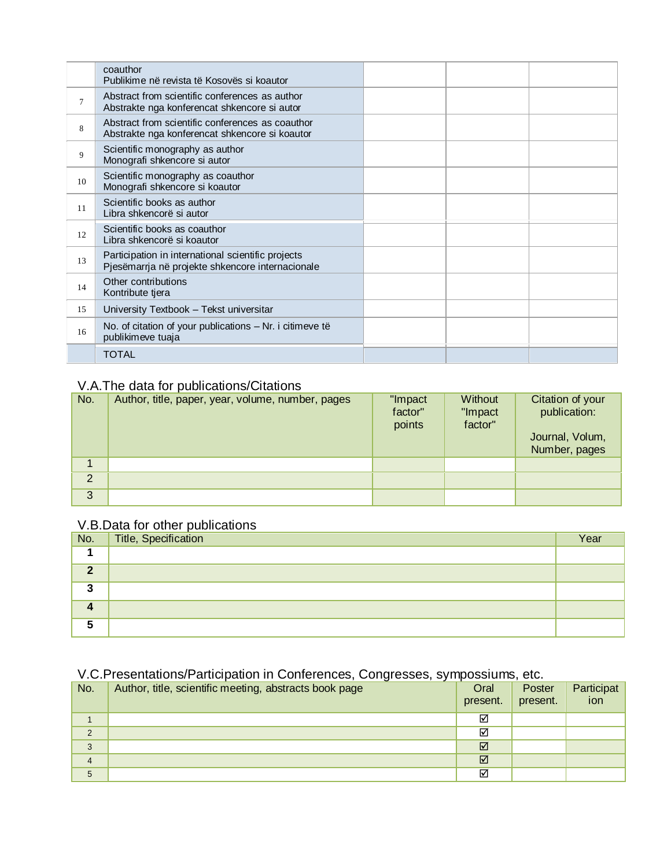| Publikime në revista të Kosovës si koautor                                                             |          |  |
|--------------------------------------------------------------------------------------------------------|----------|--|
| Abstract from scientific conferences as author<br>Abstrakte nga konferencat shkencore si autor         |          |  |
| Abstract from scientific conferences as coauthor<br>Abstrakte nga konferencat shkencore si koautor     |          |  |
| Scientific monography as author<br>Monografi shkencore si autor                                        |          |  |
| Scientific monography as coauthor<br>Monografi shkencore si koautor                                    |          |  |
| Scientific books as author<br>Libra shkencorë si autor                                                 |          |  |
| Scientific books as coauthor<br>Libra shkencorë si koautor                                             |          |  |
| Participation in international scientific projects<br>Pjesëmarrja në projekte shkencore internacionale |          |  |
| Other contributions<br>Kontribute tjera                                                                |          |  |
| University Textbook - Tekst universitar                                                                |          |  |
| No. of citation of your publications $-$ Nr. i citimeve të<br>publikimeve tuaja                        |          |  |
| TOTAL                                                                                                  |          |  |
|                                                                                                        | coauthor |  |

## V.A.The data for publications/Citations

| No.                  | Author, title, paper, year, volume, number, pages | "Impact<br>factor"<br>points | Without<br>"Impact<br>factor" | Citation of your<br>publication:<br>Journal, Volum, |
|----------------------|---------------------------------------------------|------------------------------|-------------------------------|-----------------------------------------------------|
| $\blacktriangleleft$ |                                                   |                              |                               | Number, pages                                       |
|                      |                                                   |                              |                               |                                                     |
| $\overline{2}$       |                                                   |                              |                               |                                                     |
| 3                    |                                                   |                              |                               |                                                     |

# V.B.Data for other publications

| $N$ o.    | Title, Specification | Year |
|-----------|----------------------|------|
|           |                      |      |
| $\bullet$ |                      |      |
| 灬         |                      |      |
|           |                      |      |
|           |                      |      |

### V.C.Presentations/Participation in Conferences, Congresses, sympossiums, etc.

| No.            | $\cdot$ $\cdot$ $\cdot$<br>Author, title, scientific meeting, abstracts book page | Oral<br>present. | Poster<br>present. | Participat<br>ion |
|----------------|-----------------------------------------------------------------------------------|------------------|--------------------|-------------------|
|                |                                                                                   | ☑                |                    |                   |
| $\overline{2}$ |                                                                                   | ☑                |                    |                   |
| 3              |                                                                                   | ☑                |                    |                   |
| $\overline{4}$ |                                                                                   | ☑                |                    |                   |
| 5              |                                                                                   | ☑                |                    |                   |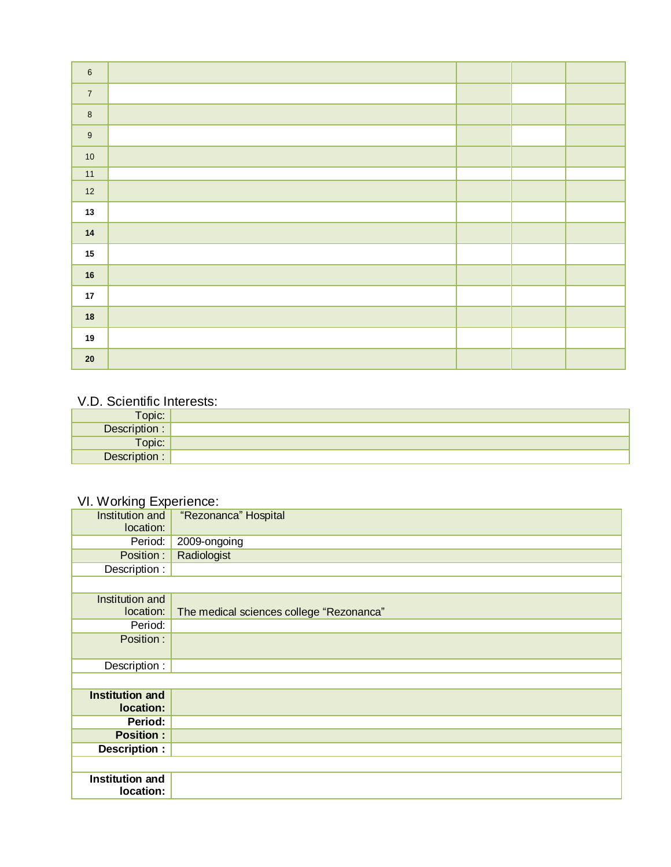| $\,6\,$                  |  |  |
|--------------------------|--|--|
| $\overline{7}$           |  |  |
| $\overline{\mathbf{8}}$  |  |  |
| $\overline{9}$           |  |  |
| $\frac{1}{10}$           |  |  |
| $\overline{11}$          |  |  |
| $12$                     |  |  |
| $13$                     |  |  |
| $\overline{\mathbf{14}}$ |  |  |
| 15                       |  |  |
| 16                       |  |  |
| 17 <sub>17</sub>         |  |  |
| $\frac{1}{18}$           |  |  |
| 19                       |  |  |
| $\overline{\mathbf{20}}$ |  |  |

### V.D. Scientific Interests:

| <b>Topic:</b> |  |
|---------------|--|
| Description : |  |
| Topic:        |  |
| Description : |  |

# VI. Working Experience:

| Institution and<br>location: | "Rezonanca" Hospital                     |
|------------------------------|------------------------------------------|
| Period:                      | 2009-ongoing                             |
| Position:                    | Radiologist                              |
| Description :                |                                          |
|                              |                                          |
| Institution and              |                                          |
| location:                    | The medical sciences college "Rezonanca" |
| Period:                      |                                          |
| Position:                    |                                          |
|                              |                                          |
| Description :                |                                          |
|                              |                                          |
| Institution and<br>location: |                                          |
| Period:                      |                                          |
| <b>Position:</b>             |                                          |
|                              |                                          |
| Description :                |                                          |
|                              |                                          |
| Institution and              |                                          |
| location:                    |                                          |